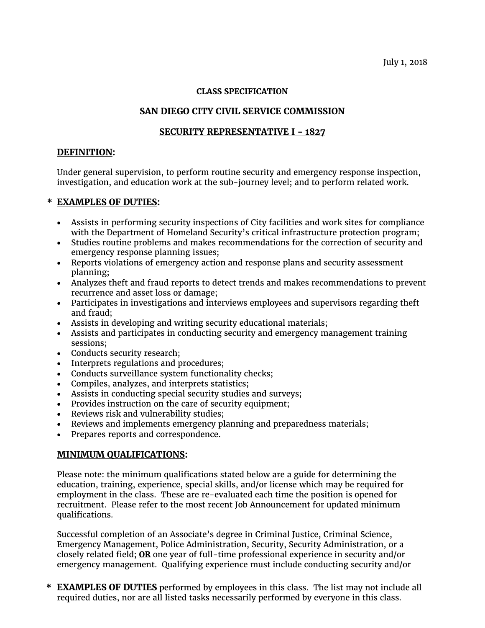### **CLASS SPECIFICATION**

# **SAN DIEGO CITY CIVIL SERVICE COMMISSION**

# **SECURITY REPRESENTATIVE I - 1827**

### **DEFINITION:**

Under general supervision, to perform routine security and emergency response inspection, investigation, and education work at the sub-journey level; and to perform related work.

### **\* EXAMPLES OF DUTIES:**

- Assists in performing security inspections of City facilities and work sites for compliance with the Department of Homeland Security's critical infrastructure protection program;
- Studies routine problems and makes recommendations for the correction of security and emergency response planning issues;
- Reports violations of emergency action and response plans and security assessment planning;
- Analyzes theft and fraud reports to detect trends and makes recommendations to prevent recurrence and asset loss or damage;
- Participates in investigations and interviews employees and supervisors regarding theft and fraud;
- Assists in developing and writing security educational materials;
- Assists and participates in conducting security and emergency management training sessions;
- Conducts security research;
- Interprets regulations and procedures;
- Conducts surveillance system functionality checks;
- Compiles, analyzes, and interprets statistics;
- Assists in conducting special security studies and surveys;
- Provides instruction on the care of security equipment;
- Reviews risk and vulnerability studies;
- Reviews and implements emergency planning and preparedness materials;
- Prepares reports and correspondence.

## **MINIMUM QUALIFICATIONS:**

Please note: the minimum qualifications stated below are a guide for determining the education, training, experience, special skills, and/or license which may be required for employment in the class. These are re-evaluated each time the position is opened for recruitment. Please refer to the most recent Job Announcement for updated minimum qualifications.

Successful completion of an Associate's degree in Criminal Justice, Criminal Science, Emergency Management, Police Administration, Security, Security Administration, or a closely related field; **OR** one year of full-time professional experience in security and/or emergency management. Qualifying experience must include conducting security and/or

**\* EXAMPLES OF DUTIES** performed by employees in this class. The list may not include all required duties, nor are all listed tasks necessarily performed by everyone in this class.